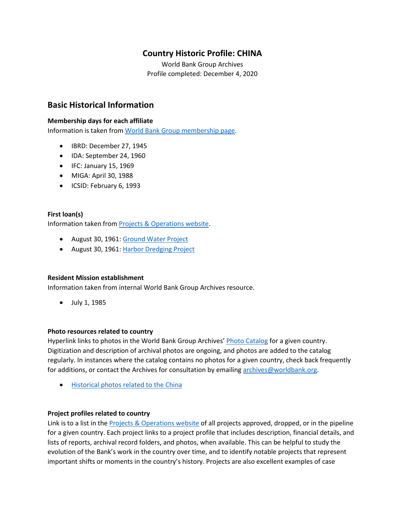# **Country Historic Profile: CHINA**

World Bank Group Archives Profile completed: December 4, 2020

## **Basic Historical Information**

#### **Membership days for each affiliate**

Information is taken from [World Bank Group membership page.](https://www.worldbank.org/en/about/leadership/members#1)

- IBRD: December 27, 1945
- IDA: September 24, 1960
- IFC: January 15, 1969
- MIGA: April 30, 1988
- ICSID: February 6, 1993

#### **First loan(s)**

Information taken from [Projects & Operations website.](https://projects.worldbank.org/)

- August 30, 1961: [Ground Water Project](https://projects.worldbank.org/en/projects-operations/project-detail/P003656)
- August 30, 1961[: Harbor Dredging Project](https://projects.worldbank.org/en/projects-operations/project-detail/P003658)

#### **Resident Mission establishment**

Information taken from internal World Bank Group Archives resource.

• July 1, 1985

#### **Photo resources related to country**

Hyperlink links to photos in the World Bank Group Archives' [Photo Catalog](https://archivesphotos.worldbank.org/en/about/archives/photo-gallery) for a given country. Digitization and description of archival photos are ongoing, and photos are added to the catalog regularly. In instances where the catalog contains no photos for a given country, check back frequently for additions, or contact the Archives for consultation by emailin[g archives@worldbank.org.](mailto:archives@worldbank.org)

• [Historical photos related to the China](https://archivesphotos.worldbank.org/en/about/archives/photo-gallery/photo-gallery-landing?qterm=china&wbg_country=China)

#### **Project profiles related to country**

Link is to a list in the [Projects & Operations website](https://projects.worldbank.org/) of all projects approved, dropped, or in the pipeline for a given country. Each project links to a project profile that includes description, financial details, and lists of reports, archival record folders, and photos, when available. This can be helpful to study the evolution of the Bank's work in the country over time, and to identify notable projects that represent important shifts or moments in the country's history. Projects are also excellent examples of case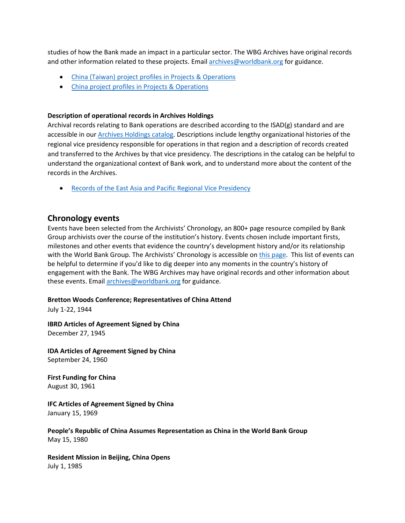studies of how the Bank made an impact in a particular sector. The WBG Archives have original records and other information related to these projects. Email [archives@worldbank.org](mailto:archives@worldbank.org) for guidance.

- China (Taiwan) [project profiles in Projects & Operations](https://projects.worldbank.org/en/projects-operations/projects-list?countrycode_exact=TW)
- [China project profiles in Projects & Operations](https://projects.worldbank.org/en/projects-operations/projects-list?countrycode_exact=CN)

#### **Description of operational records in Archives Holdings**

Archival records relating to Bank operations are described according to the ISAD(g) standard and are accessible in our [Archives Holdings catalog.](https://archivesholdings.worldbank.org/) Descriptions include lengthy organizational histories of the regional vice presidency responsible for operations in that region and a description of records created and transferred to the Archives by that vice presidency. The descriptions in the catalog can be helpful to understand the organizational context of Bank work, and to understand more about the content of the records in the Archives.

• [Records of the East Asia and Pacific Regional Vice Presidency](https://archivesholdings.worldbank.org/records-of-east-asia-and-pacific-regional-office-vice-presidency)

#### **Chronology events**

Events have been selected from the Archivists' Chronology, an 800+ page resource compiled by Bank Group archivists over the course of the institution's history. Events chosen include important firsts, milestones and other events that evidence the country's development history and/or its relationship with the World Bank Group. The Archivists' Chronology is accessible on [this page.](https://www.worldbank.org/en/about/archives/history/timeline) This list of events can be helpful to determine if you'd like to dig deeper into any moments in the country's history of engagement with the Bank. The WBG Archives may have original records and other information about these events. Email [archives@worldbank.org](mailto:archives@worldbank.org) for guidance.

#### **Bretton Woods Conference; Representatives of China Attend**

July 1-22, 1944

**IBRD Articles of Agreement Signed by China** December 27, 1945

**IDA Articles of Agreement Signed by China** September 24, 1960

**First Funding for China** August 30, 1961

**IFC Articles of Agreement Signed by China** January 15, 1969

**People's Republic of China Assumes Representation as China in the World Bank Group** May 15, 1980

**Resident Mission in Beijing, China Opens** July 1, 1985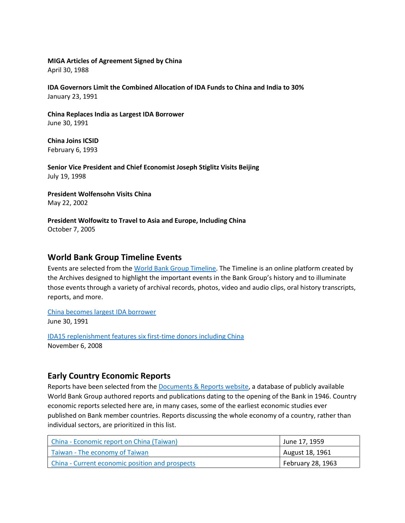#### **MIGA Articles of Agreement Signed by China**

April 30, 1988

**IDA Governors Limit the Combined Allocation of IDA Funds to China and India to 30%** January 23, 1991

**China Replaces India as Largest IDA Borrower** June 30, 1991

**China Joins ICSID** February 6, 1993

**Senior Vice President and Chief Economist Joseph Stiglitz Visits Beijing** July 19, 1998

**President Wolfensohn Visits China** May 22, 2002

**President Wolfowitz to Travel to Asia and Europe, Including China** October 7, 2005

### **World Bank Group Timeline Events**

Events are selected from th[e World Bank Group Timeline.](https://timeline.worldbank.org/#event-bretton-woods-conference-begins) The Timeline is an online platform created by the Archives designed to highlight the important events in the Bank Group's history and to illuminate those events through a variety of archival records, photos, video and audio clips, oral history transcripts, reports, and more.

[China becomes largest IDA borrower](https://timeline.worldbank.org/?field_timeline_target_id=All&combine=china#event-china-becomes-largest-ida-borrower) June 30, 1991

[IDA15 replenishment features six first-time donors including China](https://timeline.worldbank.org/?field_timeline_target_id=All&combine=china#event-ida15-replenishment-features-six-first-time-donors-including-china) November 6, 2008

## **Early Country Economic Reports**

Reports have been selected from the **Documents & Reports website**, a database of publicly available World Bank Group authored reports and publications dating to the opening of the Bank in 1946. Country economic reports selected here are, in many cases, some of the earliest economic studies ever published on Bank member countries. Reports discussing the whole economy of a country, rather than individual sectors, are prioritized in this list.

| China - Economic report on China (Taiwan)       | June 17, 1959     |
|-------------------------------------------------|-------------------|
| Taiwan - The economy of Taiwan                  | August 18, 1961   |
| China - Current economic position and prospects | February 28, 1963 |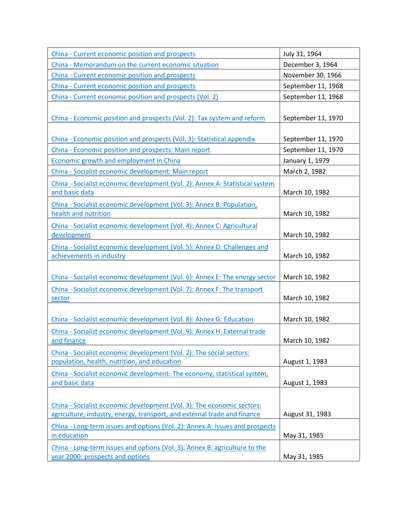| China - Current economic position and prospects                                                                                                    | July 31, 1964      |
|----------------------------------------------------------------------------------------------------------------------------------------------------|--------------------|
| China - Memorandum on the current economic situation                                                                                               | December 3, 1964   |
| China - Current economic position and prospects                                                                                                    | November 30, 1966  |
| China - Current economic position and prospects                                                                                                    | September 11, 1968 |
| China - Current economic position and prospects (Vol. 2)                                                                                           | September 11, 1968 |
| China - Economic position and prospects (Vol. 2): Tax system and reform                                                                            | September 11, 1970 |
| China - Economic position and prospects (Vol. 3): Statistical appendix                                                                             | September 11, 1970 |
| China - Economic position and prospects: Main report                                                                                               | September 11, 1970 |
| <b>Economic growth and employment in China</b>                                                                                                     | January 1, 1979    |
| China - Socialist economic development: Main report                                                                                                | March 2, 1982      |
| China - Socialist economic development (Vol. 2): Annex A: Statistical system<br>and basic data                                                     | March 10, 1982     |
| China - Socialist economic development (Vol. 3): Annex B: Population,<br>health and nutrition                                                      | March 10, 1982     |
| China - Socialist economic development (Vol. 4): Annex C: Agricultural<br>development                                                              | March 10, 1982     |
| China - Socialist economic development (Vol. 5): Annex D: Challenges and<br>achievements in industry                                               | March 10, 1982     |
| China - Socialist economic development (Vol. 6): Annex E: The energy sector                                                                        | March 10, 1982     |
| China - Socialist economic development (Vol. 7): Annex F: The transport<br>sector                                                                  | March 10, 1982     |
| China - Socialist economic development (Vol. 8): Annex G: Education                                                                                | March 10, 1982     |
| China - Socialist economic development (Vol. 9): Annex H: External trade<br>and finance                                                            | March 10, 1982     |
| China - Socialist economic development (Vol. 2): The social sectors:<br>population, health, nutrition, and education                               | August 1, 1983     |
| China - Socialist economic development: The economy, statistical system,<br>and basic data                                                         | August 1, 1983     |
| China - Socialist economic development (Vol. 3): The economic sectors:<br>agriculture, industry, energy, transport, and external trade and finance | August 31, 1983    |
| China - Long-term issues and options (Vol. 2): Annex A: issues and prospects<br>in education                                                       | May 31, 1985       |
| China - Long-term issues and options (Vol. 3): Annex B: agriculture to the<br>year 2000: prospects and options                                     | May 31, 1985       |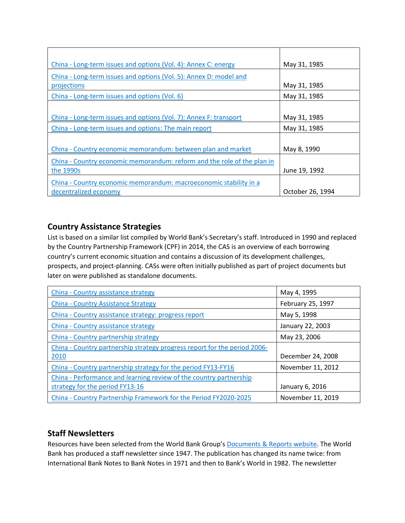| China - Long-term issues and options (Vol. 4): Annex C: energy          | May 31, 1985     |
|-------------------------------------------------------------------------|------------------|
| China - Long-term issues and options (Vol. 5): Annex D: model and       |                  |
| projections                                                             | May 31, 1985     |
| China - Long-term issues and options (Vol. 6)                           | May 31, 1985     |
|                                                                         |                  |
| China - Long-term issues and options (Vol. 7): Annex F: transport       | May 31, 1985     |
| China - Long-term issues and options: The main report                   | May 31, 1985     |
|                                                                         |                  |
| China - Country economic memorandum: between plan and market            | May 8, 1990      |
| China - Country economic memorandum: reform and the role of the plan in |                  |
| the 1990s                                                               | June 19, 1992    |
| China - Country economic memorandum: macroeconomic stability in a       |                  |
| decentralized economy                                                   | October 26, 1994 |

# **Country Assistance Strategies**

List is based on a similar list compiled by World Bank's Secretary's staff. Introduced in 1990 and replaced by the Country Partnership Framework (CPF) in 2014, the CAS is an overview of each borrowing country's current economic situation and contains a discussion of its development challenges, prospects, and project-planning. CASs were often initially published as part of project documents but later on were published as standalone documents.

| China - Country assistance strategy                                       | May 4, 1995       |
|---------------------------------------------------------------------------|-------------------|
| <b>China - Country Assistance Strategy</b>                                | February 25, 1997 |
| China - Country assistance strategy: progress report                      | May 5, 1998       |
| China - Country assistance strategy                                       | January 22, 2003  |
| China - Country partnership strategy                                      | May 23, 2006      |
| China - Country partnership strategy progress report for the period 2006- |                   |
| 2010                                                                      | December 24, 2008 |
| China - Country partnership strategy for the period FY13-FY16             | November 11, 2012 |
| China - Performance and learning review of the country partnership        |                   |
| strategy for the period FY13-16                                           | January 6, 2016   |
| China - Country Partnership Framework for the Period FY2020-2025          | November 11, 2019 |

# **Staff Newsletters**

Resources have been selected from the World Bank Group's [Documents & Reports website.](https://documents.worldbank.org/) The World Bank has produced a staff newsletter since 1947. The publication has changed its name twice: from International Bank Notes to Bank Notes in 1971 and then to Bank's World in 1982. The newsletter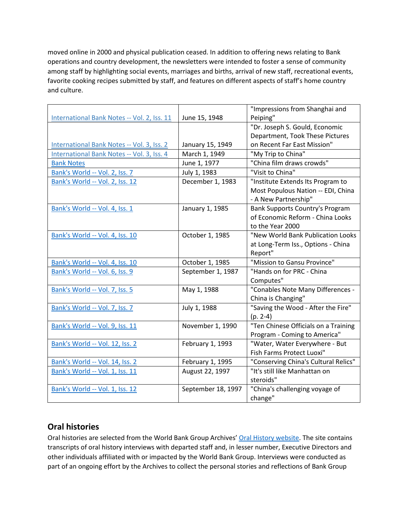moved online in 2000 and physical publication ceased. In addition to offering news relating to Bank operations and country development, the newsletters were intended to foster a sense of community among staff by highlighting social events, marriages and births, arrival of new staff, recreational events, favorite cooking recipes submitted by staff, and features on different aspects of staff's home country and culture.

|                                             |                    | "Impressions from Shanghai and       |
|---------------------------------------------|--------------------|--------------------------------------|
| International Bank Notes -- Vol. 2, Iss. 11 | June 15, 1948      | Peiping"                             |
|                                             |                    | "Dr. Joseph S. Gould, Economic       |
|                                             |                    | Department, Took These Pictures      |
| International Bank Notes -- Vol. 3, Iss. 2  | January 15, 1949   | on Recent Far East Mission"          |
| International Bank Notes -- Vol. 3, Iss. 4  | March 1, 1949      | "My Trip to China"                   |
| <b>Bank Notes</b>                           | June 1, 1977       | "China film draws crowds"            |
| Bank's World -- Vol. 2, Iss. 7              | July 1, 1983       | "Visit to China"                     |
| Bank's World -- Vol. 2, Iss. 12             | December 1, 1983   | "Institute Extends Its Program to    |
|                                             |                    | Most Populous Nation -- EDI, China   |
|                                             |                    | - A New Partnership"                 |
| Bank's World -- Vol. 4, Iss. 1              | January 1, 1985    | Bank Supports Country's Program      |
|                                             |                    | of Economic Reform - China Looks     |
|                                             |                    | to the Year 2000                     |
| Bank's World -- Vol. 4, Iss. 10             | October 1, 1985    | "New World Bank Publication Looks    |
|                                             |                    | at Long-Term Iss., Options - China   |
|                                             |                    | Report"                              |
| Bank's World -- Vol. 4, Iss. 10             | October 1, 1985    | "Mission to Gansu Province"          |
| Bank's World -- Vol. 6, Iss. 9              | September 1, 1987  | "Hands on for PRC - China            |
|                                             |                    | Computes"                            |
| Bank's World -- Vol. 7, Iss. 5              | May 1, 1988        | "Conables Note Many Differences -    |
|                                             |                    | China is Changing"                   |
| Bank's World -- Vol. 7, Iss. 7              | July 1, 1988       | "Saving the Wood - After the Fire"   |
|                                             |                    | $(p. 2-4)$                           |
| Bank's World -- Vol. 9, Iss. 11             | November 1, 1990   | "Ten Chinese Officials on a Training |
|                                             |                    | Program - Coming to America"         |
| Bank's World -- Vol. 12, Iss. 2             | February 1, 1993   | "Water, Water Everywhere - But       |
|                                             |                    | Fish Farms Protect Luoxi"            |
| Bank's World -- Vol. 14, Iss. 2             | February 1, 1995   | "Conserving China's Cultural Relics" |
| Bank's World -- Vol. 1, Iss. 11             | August 22, 1997    | "It's still like Manhattan on        |
|                                             |                    | steroids"                            |
| Bank's World -- Vol. 1, Iss. 12             | September 18, 1997 | "China's challenging voyage of       |
|                                             |                    | change"                              |

## **Oral histories**

Oral histories are selected from the World Bank Group Archives' [Oral History website.](https://oralhistory.worldbank.org/) The site contains transcripts of oral history interviews with departed staff and, in lesser number, Executive Directors and other individuals affiliated with or impacted by the World Bank Group. Interviews were conducted as part of an ongoing effort by the Archives to collect the personal stories and reflections of Bank Group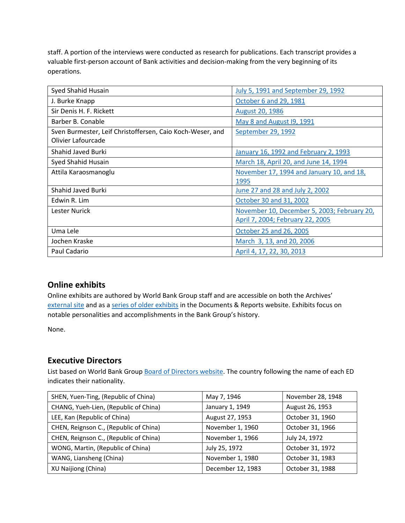staff. A portion of the interviews were conducted as research for publications. Each transcript provides a valuable first-person account of Bank activities and decision-making from the very beginning of its operations.

| Syed Shahid Husain                                        | July 5, 1991 and September 29, 1992         |
|-----------------------------------------------------------|---------------------------------------------|
| J. Burke Knapp                                            | October 6 and 29, 1981                      |
| Sir Denis H. F. Rickett                                   | August 20, 1986                             |
| Barber B. Conable                                         | May 8 and August 19, 1991                   |
| Sven Burmester, Leif Christoffersen, Caio Koch-Weser, and | September 29, 1992                          |
| Olivier Lafourcade                                        |                                             |
| Shahid Javed Burki                                        | January 16, 1992 and February 2, 1993       |
| Syed Shahid Husain                                        | March 18, April 20, and June 14, 1994       |
| Attila Karaosmanoglu                                      | November 17, 1994 and January 10, and 18,   |
|                                                           | 1995                                        |
| Shahid Javed Burki                                        | June 27 and 28 and July 2, 2002             |
| Edwin R. Lim                                              | October 30 and 31, 2002                     |
| Lester Nurick                                             | November 10, December 5, 2003; February 20, |
|                                                           | April 7, 2004; February 22, 2005            |
| Uma Lele                                                  | October 25 and 26, 2005                     |
| Jochen Kraske                                             | March 3, 13, and 20, 2006                   |
| Paul Cadario                                              | April 4, 17, 22, 30, 2013                   |

# **Online exhibits**

Online exhibits are authored by World Bank Group staff and are accessible on both the Archives' [external site](https://www.worldbank.org/en/about/archives/history/exhibits) and as a [series of older exhibits](https://documents.worldbank.org/en/publication/documents-reports/documentlist?colti=World%20Bank%20Group%20Archives%20exhibit%20series) in the Documents & Reports website. Exhibits focus on notable personalities and accomplishments in the Bank Group's history.

None.

## **Executive Directors**

List based on World Bank Group [Board of Directors website.](https://worldbankgroup.sharepoint.com/sites/wbsites/ExecutiveBoard/Pages/pc/About-the-Boards-05222019-155532/List-of-Executi-05222019-155839.aspx) The country following the name of each ED indicates their nationality.

| SHEN, Yuen-Ting, (Republic of China)   | May 7, 1946       | November 28, 1948 |
|----------------------------------------|-------------------|-------------------|
| CHANG, Yueh-Lien, (Republic of China)  | January 1, 1949   | August 26, 1953   |
| LEE, Kan (Republic of China)           | August 27, 1953   | October 31, 1960  |
| CHEN, Reignson C., (Republic of China) | November 1, 1960  | October 31, 1966  |
| CHEN, Reignson C., (Republic of China) | November 1, 1966  | July 24, 1972     |
| WONG, Martin, (Republic of China)      | July 25, 1972     | October 31, 1972  |
| WANG, Liansheng (China)                | November 1, 1980  | October 31, 1983  |
| XU Naijiong (China)                    | December 12, 1983 | October 31, 1988  |